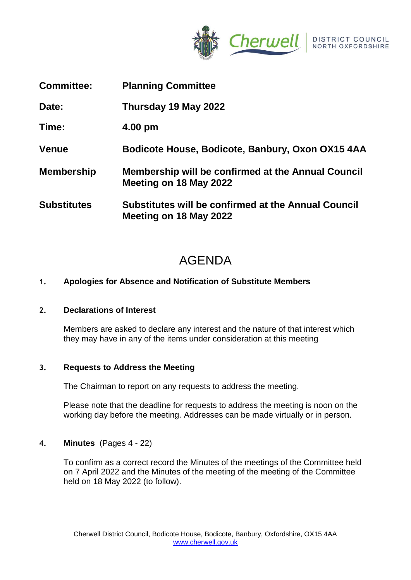

- **Committee: Planning Committee**
- **Date: Thursday 19 May 2022**

**Time: 4.00 pm**

- **Venue Bodicote House, Bodicote, Banbury, Oxon OX15 4AA**
- **Membership Membership will be confirmed at the Annual Council Meeting on 18 May 2022**
- **Substitutes Substitutes will be confirmed at the Annual Council Meeting on 18 May 2022**

# AGENDA

## **1. Apologies for Absence and Notification of Substitute Members**

## **2. Declarations of Interest**

Members are asked to declare any interest and the nature of that interest which they may have in any of the items under consideration at this meeting

## **3. Requests to Address the Meeting**

The Chairman to report on any requests to address the meeting.

Please note that the deadline for requests to address the meeting is noon on the working day before the meeting. Addresses can be made virtually or in person.

## **4. Minutes** (Pages 4 - 22)

To confirm as a correct record the Minutes of the meetings of the Committee held on 7 April 2022 and the Minutes of the meeting of the meeting of the Committee held on 18 May 2022 (to follow).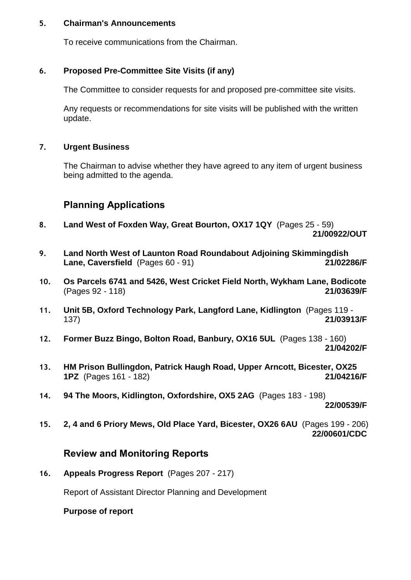## **5. Chairman's Announcements**

To receive communications from the Chairman.

## **6. Proposed Pre-Committee Site Visits (if any)**

The Committee to consider requests for and proposed pre-committee site visits.

Any requests or recommendations for site visits will be published with the written update.

## **7. Urgent Business**

The Chairman to advise whether they have agreed to any item of urgent business being admitted to the agenda.

## **Planning Applications**

- **8. Land West of Foxden Way, Great Bourton, OX17 1QY** (Pages 25 59) **21/00922/OUT**
- **9. Land North West of Launton Road Roundabout Adjoining Skimmingdish Lane, Caversfield** (Pages 60 - 91) **21/02286/F**
- **10. Os Parcels 6741 and 5426, West Cricket Field North, Wykham Lane, Bodicote**  (Pages 92 - 118) **21/03639/F**
- **11. Unit 5B, Oxford Technology Park, Langford Lane, Kidlington** (Pages 119 137) **21/03913/F**
- **12. Former Buzz Bingo, Bolton Road, Banbury, OX16 5UL** (Pages 138 160) **21/04202/F**
- **13. HM Prison Bullingdon, Patrick Haugh Road, Upper Arncott, Bicester, OX25 1PZ** (Pages 161 - 182) **21/04216/F**
- **14. 94 The Moors, Kidlington, Oxfordshire, OX5 2AG** (Pages 183 198)

**22/00539/F**

**15. 2, 4 and 6 Priory Mews, Old Place Yard, Bicester, OX26 6AU** (Pages 199 - 206) **22/00601/CDC**

## **Review and Monitoring Reports**

**16. Appeals Progress Report** (Pages 207 - 217)

Report of Assistant Director Planning and Development

#### **Purpose of report**